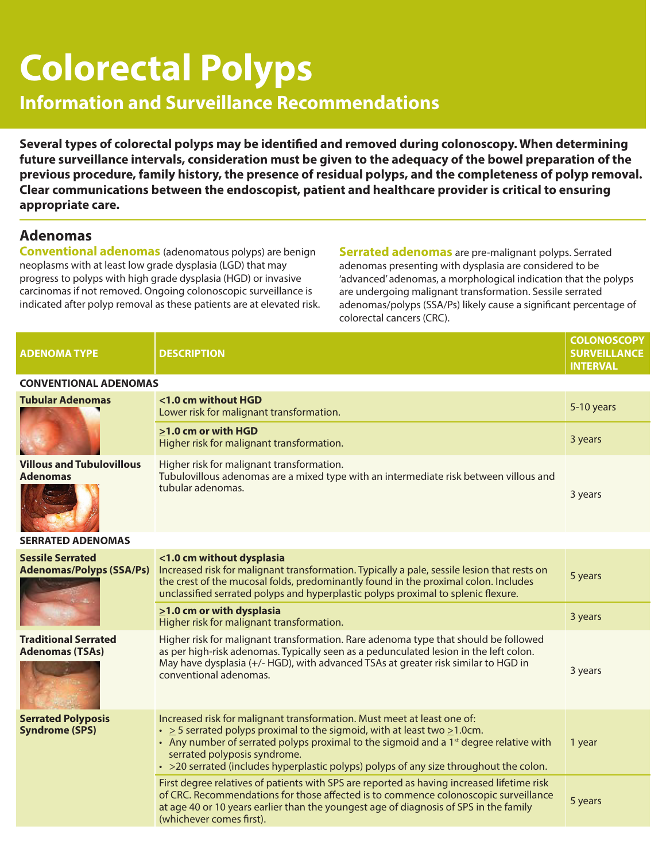# **Colorectal Polyps**

# **Information and Surveillance Recommendations**

**Several types of colorectal polyps may be identified and removed during colonoscopy. When determining future surveillance intervals, consideration must be given to the adequacy of the bowel preparation of the previous procedure, family history, the presence of residual polyps, and the completeness of polyp removal. Clear communications between the endoscopist, patient and healthcare provider is critical to ensuring appropriate care.**

#### **Adenomas**

**Conventional adenomas** (adenomatous polyps) are benign neoplasms with at least low grade dysplasia (LGD) that may progress to polyps with high grade dysplasia (HGD) or invasive carcinomas if not removed. Ongoing colonoscopic surveillance is indicated after polyp removal as these patients are at elevated risk. **Serrated adenomas** are pre-malignant polyps. Serrated adenomas presenting with dysplasia are considered to be 'advanced' adenomas, a morphological indication that the polyps are undergoing malignant transformation. Sessile serrated adenomas/polyps (SSA/Ps) likely cause a significant percentage of colorectal cancers (CRC).

| <b>ADENOMA TYPE</b>                                        | <b>DESCRIPTION</b>                                                                                                                                                                                                                                                                                                                                                                              | <b>COLONOSCOPY</b><br><b>SURVEILLANCE</b><br><b>INTERVAL</b> |  |  |  |  |  |  |  |
|------------------------------------------------------------|-------------------------------------------------------------------------------------------------------------------------------------------------------------------------------------------------------------------------------------------------------------------------------------------------------------------------------------------------------------------------------------------------|--------------------------------------------------------------|--|--|--|--|--|--|--|
| <b>CONVENTIONAL ADENOMAS</b>                               |                                                                                                                                                                                                                                                                                                                                                                                                 |                                                              |  |  |  |  |  |  |  |
| <b>Tubular Adenomas</b>                                    | <1.0 cm without HGD<br>Lower risk for malignant transformation.                                                                                                                                                                                                                                                                                                                                 | 5-10 years                                                   |  |  |  |  |  |  |  |
|                                                            | >1.0 cm or with HGD<br>Higher risk for malignant transformation.                                                                                                                                                                                                                                                                                                                                | 3 years                                                      |  |  |  |  |  |  |  |
| <b>Villous and Tubulovillous</b><br><b>Adenomas</b>        | Higher risk for malignant transformation.<br>Tubulovillous adenomas are a mixed type with an intermediate risk between villous and<br>tubular adenomas.                                                                                                                                                                                                                                         | 3 years                                                      |  |  |  |  |  |  |  |
| <b>SERRATED ADENOMAS</b>                                   |                                                                                                                                                                                                                                                                                                                                                                                                 |                                                              |  |  |  |  |  |  |  |
| <b>Sessile Serrated</b><br><b>Adenomas/Polyps (SSA/Ps)</b> | <1.0 cm without dysplasia<br>Increased risk for malignant transformation. Typically a pale, sessile lesion that rests on<br>the crest of the mucosal folds, predominantly found in the proximal colon. Includes<br>unclassified serrated polyps and hyperplastic polyps proximal to splenic flexure.                                                                                            | 5 years                                                      |  |  |  |  |  |  |  |
|                                                            | $\geq$ 1.0 cm or with dysplasia<br>Higher risk for malignant transformation.                                                                                                                                                                                                                                                                                                                    | 3 years                                                      |  |  |  |  |  |  |  |
| <b>Traditional Serrated</b><br><b>Adenomas (TSAs)</b>      | Higher risk for malignant transformation. Rare adenoma type that should be followed<br>as per high-risk adenomas. Typically seen as a pedunculated lesion in the left colon.<br>May have dysplasia (+/- HGD), with advanced TSAs at greater risk similar to HGD in<br>conventional adenomas.                                                                                                    | 3 years                                                      |  |  |  |  |  |  |  |
| <b>Serrated Polyposis</b><br><b>Syndrome (SPS)</b>         | Increased risk for malignant transformation. Must meet at least one of:<br>$\cdot$ > 5 serrated polyps proximal to the sigmoid, with at least two $\geq$ 1.0cm.<br>• Any number of serrated polyps proximal to the sigmoid and a 1 <sup>st</sup> degree relative with<br>serrated polyposis syndrome.<br>· >20 serrated (includes hyperplastic polyps) polyps of any size throughout the colon. | 1 year                                                       |  |  |  |  |  |  |  |
|                                                            | First degree relatives of patients with SPS are reported as having increased lifetime risk<br>of CRC. Recommendations for those affected is to commence colonoscopic surveillance<br>at age 40 or 10 years earlier than the youngest age of diagnosis of SPS in the family<br>(whichever comes first).                                                                                          | 5 years                                                      |  |  |  |  |  |  |  |